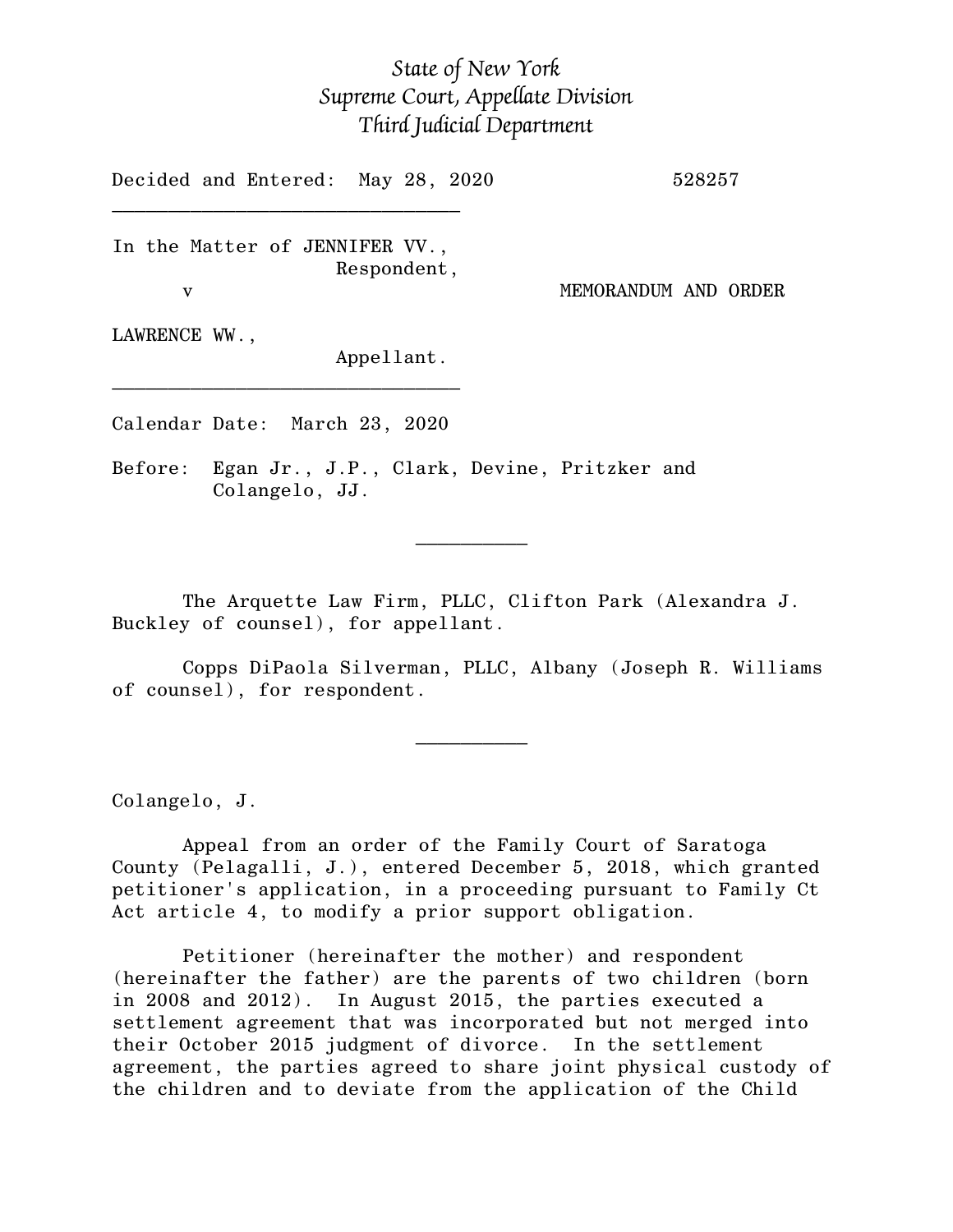## *State of New York Supreme Court, Appellate Division Third Judicial Department*

Decided and Entered: May 28, 2020 528257

In the Matter of JENNIFER VV., Respondent,

 $\mathcal{L}_\text{max}$ 

v MEMORANDUM AND ORDER

LAWRENCE WW.,

Appellant.

Calendar Date: March 23, 2020

 $\mathcal{L}_\text{max}$  and  $\mathcal{L}_\text{max}$  are the set of  $\mathcal{L}_\text{max}$  . The set of  $\mathcal{L}_\text{max}$ 

 $\mathcal{L}_\text{max}$  and  $\mathcal{L}_\text{max}$  are the set of  $\mathcal{L}_\text{max}$  . The set of  $\mathcal{L}_\text{max}$ 

 $\mathcal{L}_\text{max}$ 

Before: Egan Jr., J.P., Clark, Devine, Pritzker and Colangelo, JJ.

The Arquette Law Firm, PLLC, Clifton Park (Alexandra J. Buckley of counsel), for appellant.

Copps DiPaola Silverman, PLLC, Albany (Joseph R. Williams of counsel), for respondent.

Colangelo, J.

Appeal from an order of the Family Court of Saratoga County (Pelagalli, J.), entered December 5, 2018, which granted petitioner's application, in a proceeding pursuant to Family Ct Act article 4, to modify a prior support obligation.

Petitioner (hereinafter the mother) and respondent (hereinafter the father) are the parents of two children (born in 2008 and 2012). In August 2015, the parties executed a settlement agreement that was incorporated but not merged into their October 2015 judgment of divorce. In the settlement agreement, the parties agreed to share joint physical custody of the children and to deviate from the application of the Child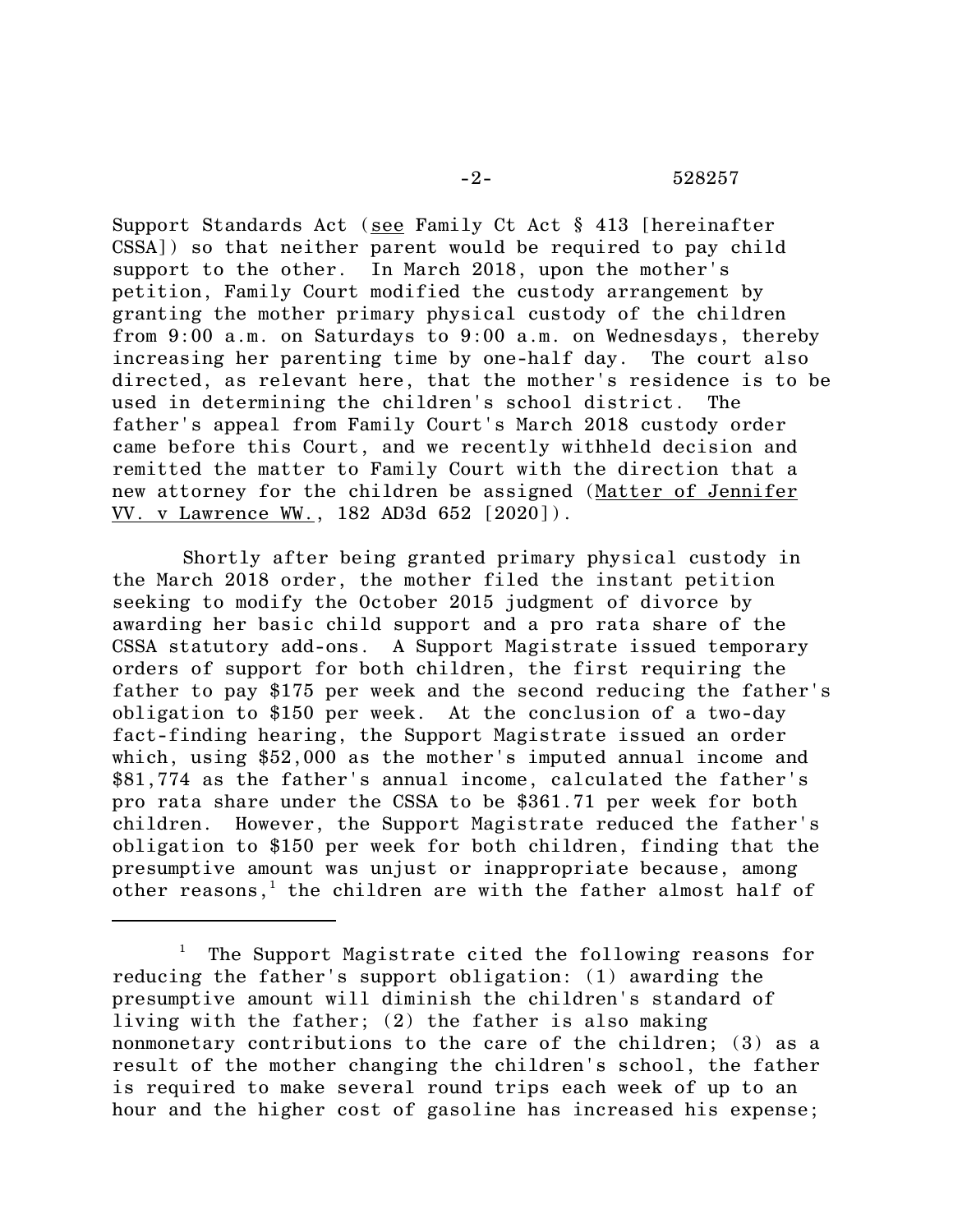Support Standards Act (see Family Ct Act § 413 [hereinafter CSSA]) so that neither parent would be required to pay child support to the other. In March 2018, upon the mother's petition, Family Court modified the custody arrangement by granting the mother primary physical custody of the children from 9:00 a.m. on Saturdays to 9:00 a.m. on Wednesdays, thereby increasing her parenting time by one-half day. The court also directed, as relevant here, that the mother's residence is to be used in determining the children's school district. The father's appeal from Family Court's March 2018 custody order came before this Court, and we recently withheld decision and remitted the matter to Family Court with the direction that a new attorney for the children be assigned (Matter of Jennifer VV. v Lawrence WW., 182 AD3d 652 [2020]).

Shortly after being granted primary physical custody in the March 2018 order, the mother filed the instant petition seeking to modify the October 2015 judgment of divorce by awarding her basic child support and a pro rata share of the CSSA statutory add-ons. A Support Magistrate issued temporary orders of support for both children, the first requiring the father to pay \$175 per week and the second reducing the father's obligation to \$150 per week. At the conclusion of a two-day fact-finding hearing, the Support Magistrate issued an order which, using \$52,000 as the mother's imputed annual income and \$81,774 as the father's annual income, calculated the father's pro rata share under the CSSA to be \$361.71 per week for both children. However, the Support Magistrate reduced the father's obligation to \$150 per week for both children, finding that the presumptive amount was unjust or inappropriate because, among other reasons, <sup>1</sup> the children are with the father almost half of

The Support Magistrate cited the following reasons for reducing the father's support obligation: (1) awarding the presumptive amount will diminish the children's standard of living with the father; (2) the father is also making nonmonetary contributions to the care of the children; (3) as a result of the mother changing the children's school, the father is required to make several round trips each week of up to an hour and the higher cost of gasoline has increased his expense;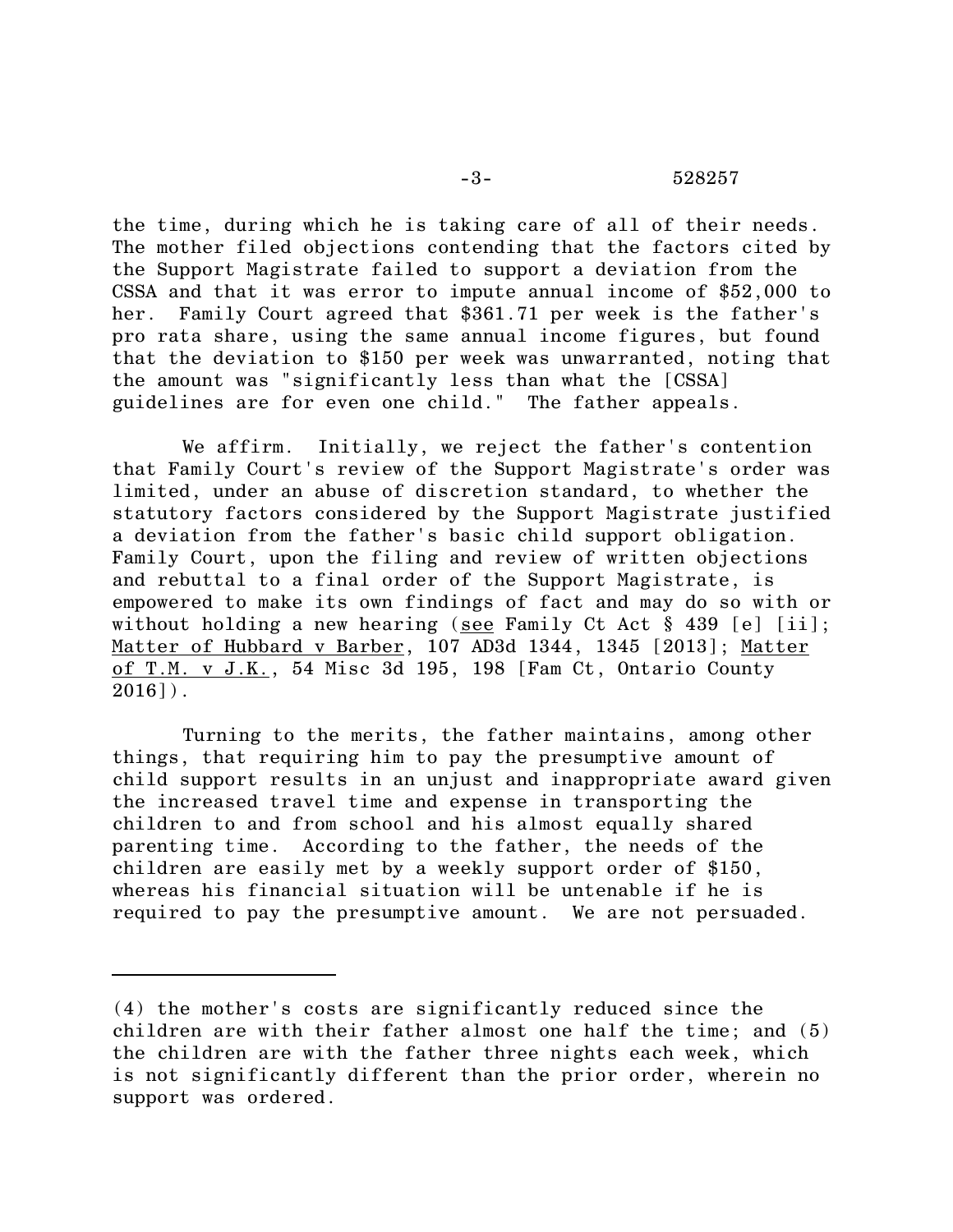the time, during which he is taking care of all of their needs. The mother filed objections contending that the factors cited by the Support Magistrate failed to support a deviation from the CSSA and that it was error to impute annual income of \$52,000 to her. Family Court agreed that \$361.71 per week is the father's pro rata share, using the same annual income figures, but found that the deviation to \$150 per week was unwarranted, noting that the amount was "significantly less than what the [CSSA] guidelines are for even one child." The father appeals.

We affirm. Initially, we reject the father's contention that Family Court's review of the Support Magistrate's order was limited, under an abuse of discretion standard, to whether the statutory factors considered by the Support Magistrate justified a deviation from the father's basic child support obligation. Family Court, upon the filing and review of written objections and rebuttal to a final order of the Support Magistrate, is empowered to make its own findings of fact and may do so with or without holding a new hearing (see Family Ct Act § 439 [e] [ii]; Matter of Hubbard v Barber, 107 AD3d 1344, 1345 [2013]; Matter of T.M. v J.K., 54 Misc 3d 195, 198 [Fam Ct, Ontario County  $2016$ ]).

Turning to the merits, the father maintains, among other things, that requiring him to pay the presumptive amount of child support results in an unjust and inappropriate award given the increased travel time and expense in transporting the children to and from school and his almost equally shared parenting time. According to the father, the needs of the children are easily met by a weekly support order of \$150, whereas his financial situation will be untenable if he is required to pay the presumptive amount. We are not persuaded.

<sup>(4)</sup> the mother's costs are significantly reduced since the children are with their father almost one half the time; and (5) the children are with the father three nights each week, which is not significantly different than the prior order, wherein no support was ordered.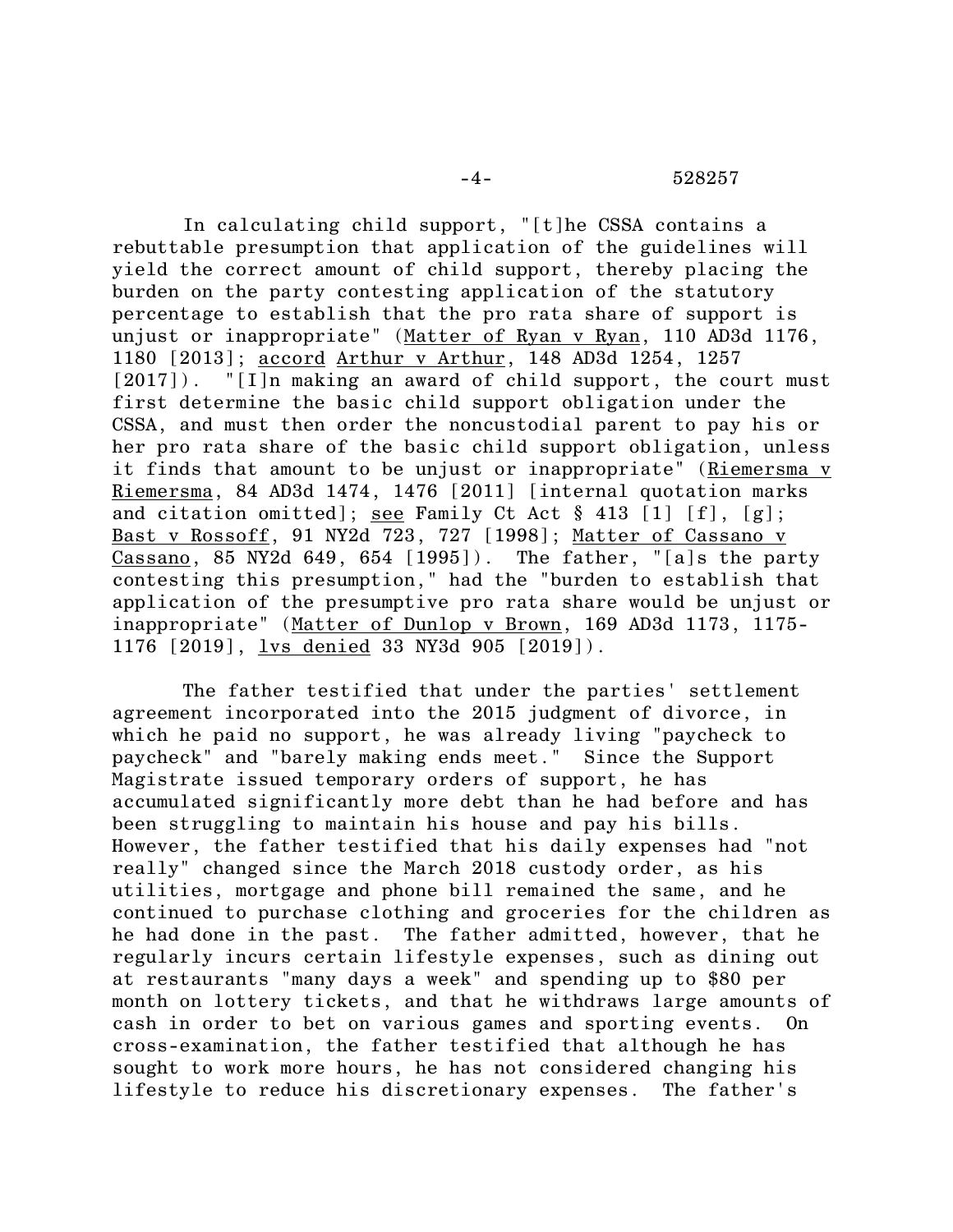In calculating child support, "[t]he CSSA contains a rebuttable presumption that application of the guidelines will yield the correct amount of child support, thereby placing the burden on the party contesting application of the statutory percentage to establish that the pro rata share of support is unjust or inappropriate" (Matter of Ryan v Ryan, 110 AD3d 1176, 1180 [2013]; accord Arthur v Arthur, 148 AD3d 1254, 1257 [2017]). "[I]n making an award of child support, the court must first determine the basic child support obligation under the CSSA, and must then order the noncustodial parent to pay his or her pro rata share of the basic child support obligation, unless it finds that amount to be unjust or inappropriate" (Riemersma v Riemersma, 84 AD3d 1474, 1476 [2011] [internal quotation marks and citation omitted]; see Family Ct Act § 413 [1] [f], [g]; Bast v Rossoff, 91 NY2d 723, 727 [1998]; Matter of Cassano v Cassano, 85 NY2d 649, 654 [1995]). The father, "[a]s the party contesting this presumption," had the "burden to establish that application of the presumptive pro rata share would be unjust or inappropriate" (Matter of Dunlop v Brown, 169 AD3d 1173, 1175- 1176 [2019], lvs denied 33 NY3d 905 [2019]).

The father testified that under the parties' settlement agreement incorporated into the 2015 judgment of divorce, in which he paid no support, he was already living "paycheck to paycheck" and "barely making ends meet." Since the Support Magistrate issued temporary orders of support, he has accumulated significantly more debt than he had before and has been struggling to maintain his house and pay his bills. However, the father testified that his daily expenses had "not really" changed since the March 2018 custody order, as his utilities, mortgage and phone bill remained the same, and he continued to purchase clothing and groceries for the children as he had done in the past. The father admitted, however, that he regularly incurs certain lifestyle expenses, such as dining out at restaurants "many days a week" and spending up to \$80 per month on lottery tickets, and that he withdraws large amounts of cash in order to bet on various games and sporting events. On cross-examination, the father testified that although he has sought to work more hours, he has not considered changing his lifestyle to reduce his discretionary expenses. The father's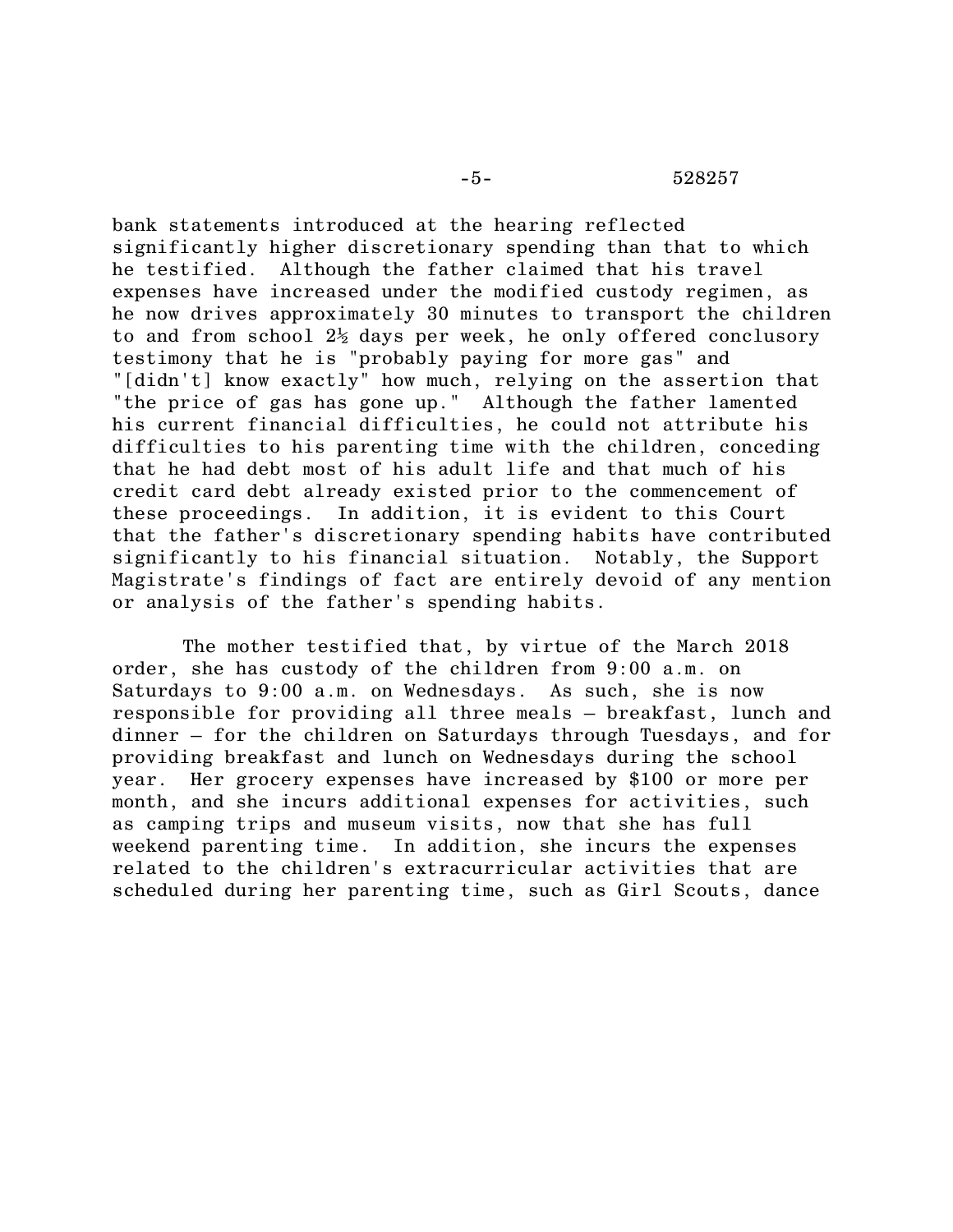bank statements introduced at the hearing reflected significantly higher discretionary spending than that to which he testified. Although the father claimed that his travel expenses have increased under the modified custody regimen, as he now drives approximately 30 minutes to transport the children to and from school  $2\frac{1}{2}$  days per week, he only offered conclusory testimony that he is "probably paying for more gas" and "[didn't] know exactly" how much, relying on the assertion that "the price of gas has gone up." Although the father lamented his current financial difficulties, he could not attribute his difficulties to his parenting time with the children, conceding that he had debt most of his adult life and that much of his credit card debt already existed prior to the commencement of these proceedings. In addition, it is evident to this Court that the father's discretionary spending habits have contributed significantly to his financial situation. Notably, the Support Magistrate's findings of fact are entirely devoid of any mention or analysis of the father's spending habits.

The mother testified that, by virtue of the March 2018 order, she has custody of the children from 9:00 a.m. on Saturdays to 9:00 a.m. on Wednesdays. As such, she is now responsible for providing all three meals – breakfast, lunch and dinner – for the children on Saturdays through Tuesdays, and for providing breakfast and lunch on Wednesdays during the school year. Her grocery expenses have increased by \$100 or more per month, and she incurs additional expenses for activities, such as camping trips and museum visits, now that she has full weekend parenting time. In addition, she incurs the expenses related to the children's extracurricular activities that are scheduled during her parenting time, such as Girl Scouts, dance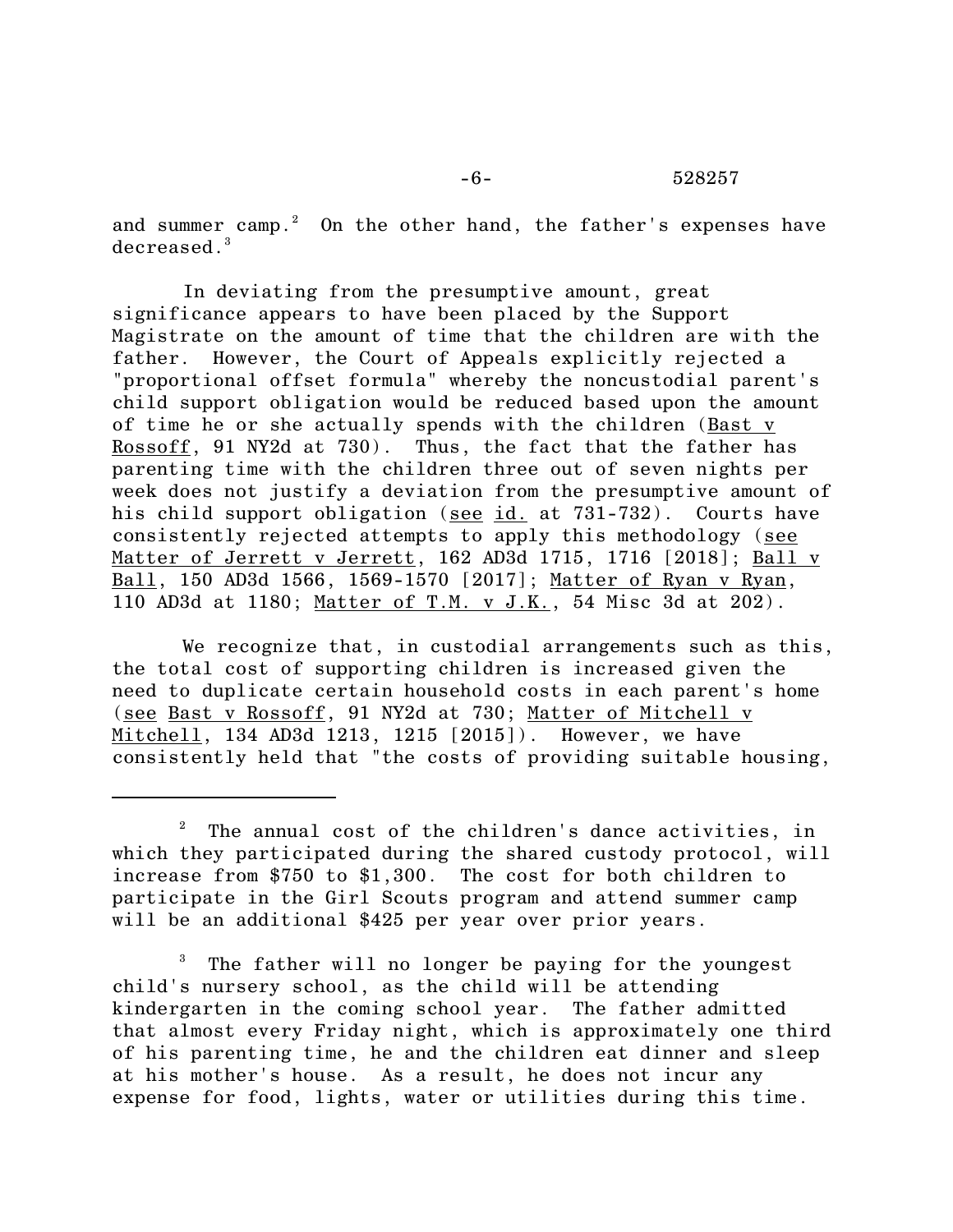and summer camp.<sup>2</sup> On the other hand, the father's expenses have decreased.<sup>3</sup>

In deviating from the presumptive amount, great significance appears to have been placed by the Support Magistrate on the amount of time that the children are with the father. However, the Court of Appeals explicitly rejected a "proportional offset formula" whereby the noncustodial parent's child support obligation would be reduced based upon the amount of time he or she actually spends with the children (Bast v Rossoff, 91 NY2d at 730). Thus, the fact that the father has parenting time with the children three out of seven nights per week does not justify a deviation from the presumptive amount of his child support obligation (see id. at 731-732). Courts have consistently rejected attempts to apply this methodology (see Matter of Jerrett v Jerrett, 162 AD3d 1715, 1716 [2018]; Ball v Ball, 150 AD3d 1566, 1569-1570 [2017]; Matter of Ryan v Ryan, 110 AD3d at 1180; Matter of T.M. v J.K., 54 Misc 3d at 202).

We recognize that, in custodial arrangements such as this, the total cost of supporting children is increased given the need to duplicate certain household costs in each parent's home (see Bast v Rossoff, 91 NY2d at 730; Matter of Mitchell v Mitchell, 134 AD3d 1213, 1215 [2015]). However, we have consistently held that "the costs of providing suitable housing,

<sup>3</sup> The father will no longer be paying for the youngest child's nursery school, as the child will be attending kindergarten in the coming school year. The father admitted that almost every Friday night, which is approximately one third of his parenting time, he and the children eat dinner and sleep at his mother's house. As a result, he does not incur any expense for food, lights, water or utilities during this time.

The annual cost of the children's dance activities, in which they participated during the shared custody protocol, will increase from \$750 to \$1,300. The cost for both children to participate in the Girl Scouts program and attend summer camp will be an additional \$425 per year over prior years.